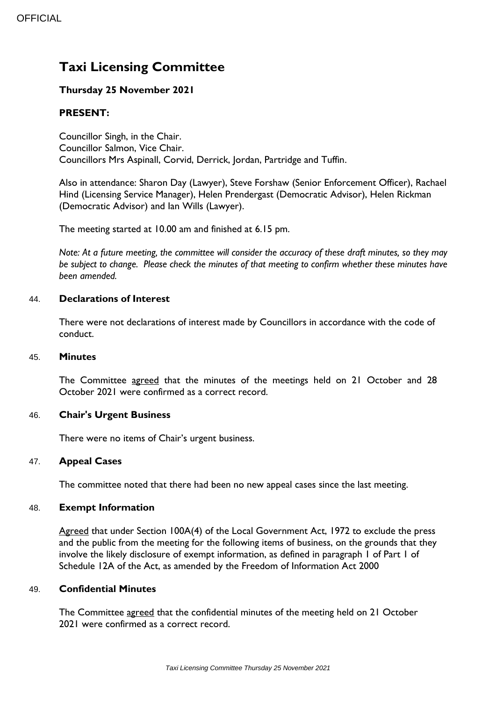# **Taxi Licensing Committee**

# **Thursday 25 November 2021**

# **PRESENT:**

Councillor Singh, in the Chair. Councillor Salmon, Vice Chair. Councillors Mrs Aspinall, Corvid, Derrick, Jordan, Partridge and Tuffin.

Also in attendance: Sharon Day (Lawyer), Steve Forshaw (Senior Enforcement Officer), Rachael Hind (Licensing Service Manager), Helen Prendergast (Democratic Advisor), Helen Rickman (Democratic Advisor) and Ian Wills (Lawyer).

The meeting started at 10.00 am and finished at 6.15 pm.

*Note: At a future meeting, the committee will consider the accuracy of these draft minutes, so they may be subject to change. Please check the minutes of that meeting to confirm whether these minutes have been amended.*

### 44. **Declarations of Interest**

There were not declarations of interest made by Councillors in accordance with the code of conduct.

#### 45. **Minutes**

The Committee agreed that the minutes of the meetings held on 21 October and 28 October 2021 were confirmed as a correct record.

## 46. **Chair's Urgent Business**

There were no items of Chair's urgent business.

## 47. **Appeal Cases**

The committee noted that there had been no new appeal cases since the last meeting.

#### 48. **Exempt Information**

Agreed that under Section 100A(4) of the Local Government Act, 1972 to exclude the press and the public from the meeting for the following items of business, on the grounds that they involve the likely disclosure of exempt information, as defined in paragraph 1 of Part 1 of Schedule 12A of the Act, as amended by the Freedom of Information Act 2000

#### 49. **Confidential Minutes**

The Committee agreed that the confidential minutes of the meeting held on 21 October 2021 were confirmed as a correct record.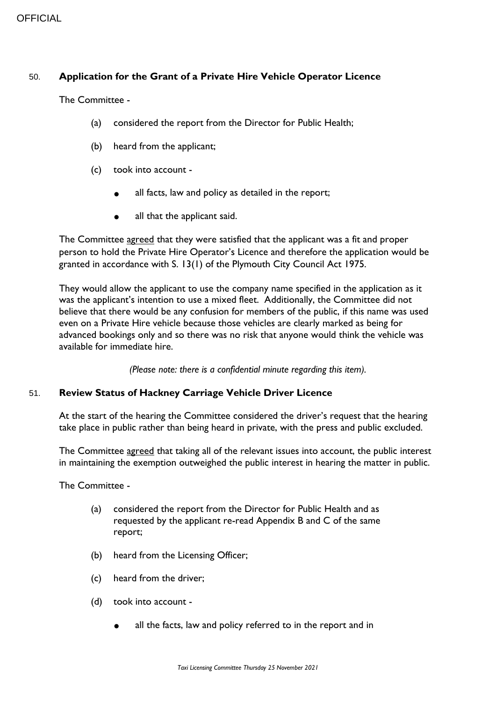## 50. **Application for the Grant of a Private Hire Vehicle Operator Licence**

The Committee -

- (a) considered the report from the Director for Public Health;
- (b) heard from the applicant;
- (c) took into account
	- all facts, law and policy as detailed in the report;
	- all that the applicant said.

The Committee agreed that they were satisfied that the applicant was a fit and proper person to hold the Private Hire Operator's Licence and therefore the application would be granted in accordance with S. 13(1) of the Plymouth City Council Act 1975.

They would allow the applicant to use the company name specified in the application as it was the applicant's intention to use a mixed fleet. Additionally, the Committee did not believe that there would be any confusion for members of the public, if this name was used even on a Private Hire vehicle because those vehicles are clearly marked as being for advanced bookings only and so there was no risk that anyone would think the vehicle was available for immediate hire.

*(Please note: there is a confidential minute regarding this item).*

## 51. **Review Status of Hackney Carriage Vehicle Driver Licence**

At the start of the hearing the Committee considered the driver's request that the hearing take place in public rather than being heard in private, with the press and public excluded.

The Committee agreed that taking all of the relevant issues into account, the public interest in maintaining the exemption outweighed the public interest in hearing the matter in public.

The Committee -

- (a) considered the report from the Director for Public Health and as requested by the applicant re-read Appendix B and C of the same report;
- (b) heard from the Licensing Officer;
- (c) heard from the driver;
- (d) took into account
	- all the facts, law and policy referred to in the report and in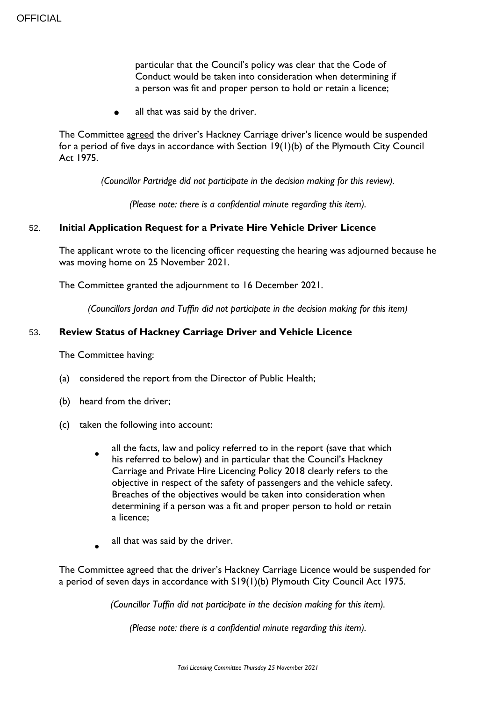particular that the Council's policy was clear that the Code of Conduct would be taken into consideration when determining if a person was fit and proper person to hold or retain a licence;

all that was said by the driver.

The Committee agreed the driver's Hackney Carriage driver's licence would be suspended for a period of five days in accordance with Section 19(1)(b) of the Plymouth City Council Act 1975.

*(Councillor Partridge did not participate in the decision making for this review).*

*(Please note: there is a confidential minute regarding this item).*

#### 52. **Initial Application Request for a Private Hire Vehicle Driver Licence**

The applicant wrote to the licencing officer requesting the hearing was adjourned because he was moving home on 25 November 2021.

The Committee granted the adjournment to 16 December 2021.

*(Councillors Jordan and Tuffin did not participate in the decision making for this item)*

#### 53. **Review Status of Hackney Carriage Driver and Vehicle Licence**

The Committee having:

- (a) considered the report from the Director of Public Health;
- (b) heard from the driver;
- (c) taken the following into account:
	- $\bullet$ all the facts, law and policy referred to in the report (save that which his referred to below) and in particular that the Council's Hackney Carriage and Private Hire Licencing Policy 2018 clearly refers to the objective in respect of the safety of passengers and the vehicle safety. Breaches of the objectives would be taken into consideration when determining if a person was a fit and proper person to hold or retain a licence;
	- $\bullet$ all that was said by the driver.

The Committee agreed that the driver's Hackney Carriage Licence would be suspended for a period of seven days in accordance with S19(1)(b) Plymouth City Council Act 1975.

*(Councillor Tuffin did not participate in the decision making for this item).*

*(Please note: there is a confidential minute regarding this item).*